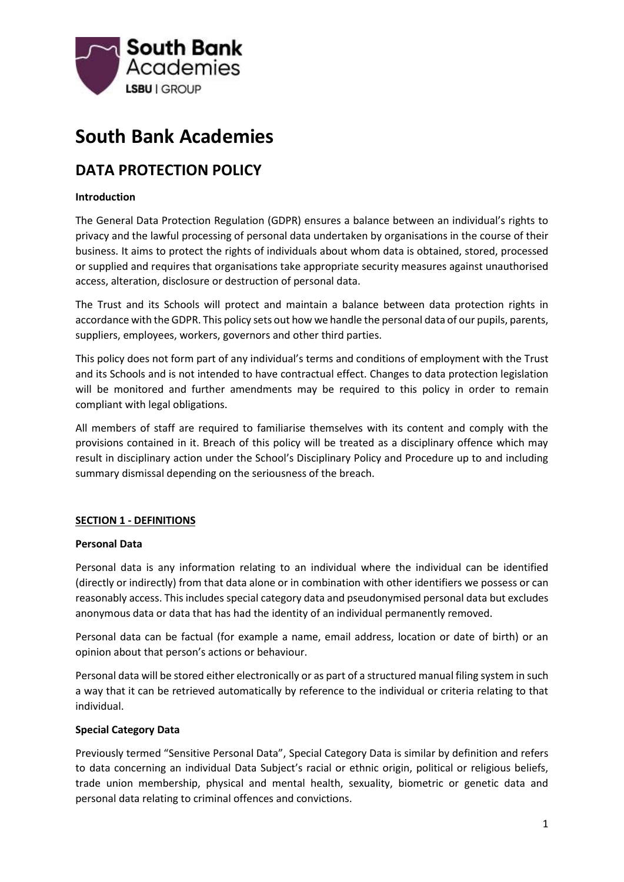

# **South Bank Academies**

# **DATA PROTECTION POLICY**

# **Introduction**

The General Data Protection Regulation (GDPR) ensures a balance between an individual's rights to privacy and the lawful processing of personal data undertaken by organisations in the course of their business. It aims to protect the rights of individuals about whom data is obtained, stored, processed or supplied and requires that organisations take appropriate security measures against unauthorised access, alteration, disclosure or destruction of personal data.

The Trust and its Schools will protect and maintain a balance between data protection rights in accordance with the GDPR. This policy sets out how we handle the personal data of our pupils, parents, suppliers, employees, workers, governors and other third parties.

This policy does not form part of any individual's terms and conditions of employment with the Trust and its Schools and is not intended to have contractual effect. Changes to data protection legislation will be monitored and further amendments may be required to this policy in order to remain compliant with legal obligations.

All members of staff are required to familiarise themselves with its content and comply with the provisions contained in it. Breach of this policy will be treated as a disciplinary offence which may result in disciplinary action under the School's Disciplinary Policy and Procedure up to and including summary dismissal depending on the seriousness of the breach.

# **SECTION 1 - DEFINITIONS**

# **Personal Data**

Personal data is any information relating to an individual where the individual can be identified (directly or indirectly) from that data alone or in combination with other identifiers we possess or can reasonably access. This includes special category data and pseudonymised personal data but excludes anonymous data or data that has had the identity of an individual permanently removed.

Personal data can be factual (for example a name, email address, location or date of birth) or an opinion about that person's actions or behaviour.

Personal data will be stored either electronically or as part of a structured manual filing system in such a way that it can be retrieved automatically by reference to the individual or criteria relating to that individual.

# **Special Category Data**

Previously termed "Sensitive Personal Data", Special Category Data is similar by definition and refers to data concerning an individual Data Subject's racial or ethnic origin, political or religious beliefs, trade union membership, physical and mental health, sexuality, biometric or genetic data and personal data relating to criminal offences and convictions.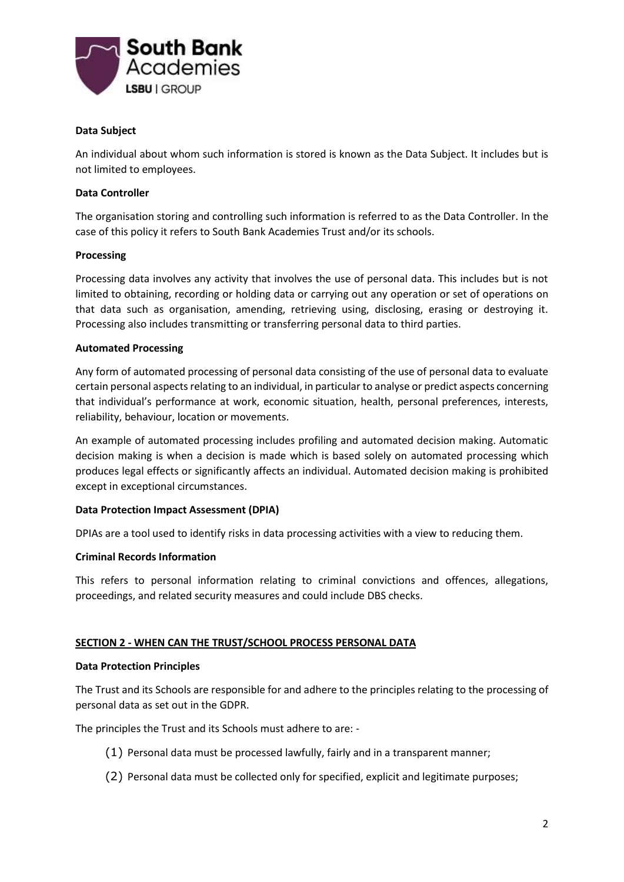

# **Data Subject**

An individual about whom such information is stored is known as the Data Subject. It includes but is not limited to employees.

# **Data Controller**

The organisation storing and controlling such information is referred to as the Data Controller. In the case of this policy it refers to South Bank Academies Trust and/or its schools.

# **Processing**

Processing data involves any activity that involves the use of personal data. This includes but is not limited to obtaining, recording or holding data or carrying out any operation or set of operations on that data such as organisation, amending, retrieving using, disclosing, erasing or destroying it. Processing also includes transmitting or transferring personal data to third parties.

# **Automated Processing**

Any form of automated processing of personal data consisting of the use of personal data to evaluate certain personal aspects relating to an individual, in particular to analyse or predict aspects concerning that individual's performance at work, economic situation, health, personal preferences, interests, reliability, behaviour, location or movements.

An example of automated processing includes profiling and automated decision making. Automatic decision making is when a decision is made which is based solely on automated processing which produces legal effects or significantly affects an individual. Automated decision making is prohibited except in exceptional circumstances.

### **Data Protection Impact Assessment (DPIA)**

DPIAs are a tool used to identify risks in data processing activities with a view to reducing them.

### **Criminal Records Information**

This refers to personal information relating to criminal convictions and offences, allegations, proceedings, and related security measures and could include DBS checks.

### **SECTION 2 - WHEN CAN THE TRUST/SCHOOL PROCESS PERSONAL DATA**

### **Data Protection Principles**

The Trust and its Schools are responsible for and adhere to the principles relating to the processing of personal data as set out in the GDPR.

The principles the Trust and its Schools must adhere to are: -

- (1) Personal data must be processed lawfully, fairly and in a transparent manner;
- (2) Personal data must be collected only for specified, explicit and legitimate purposes;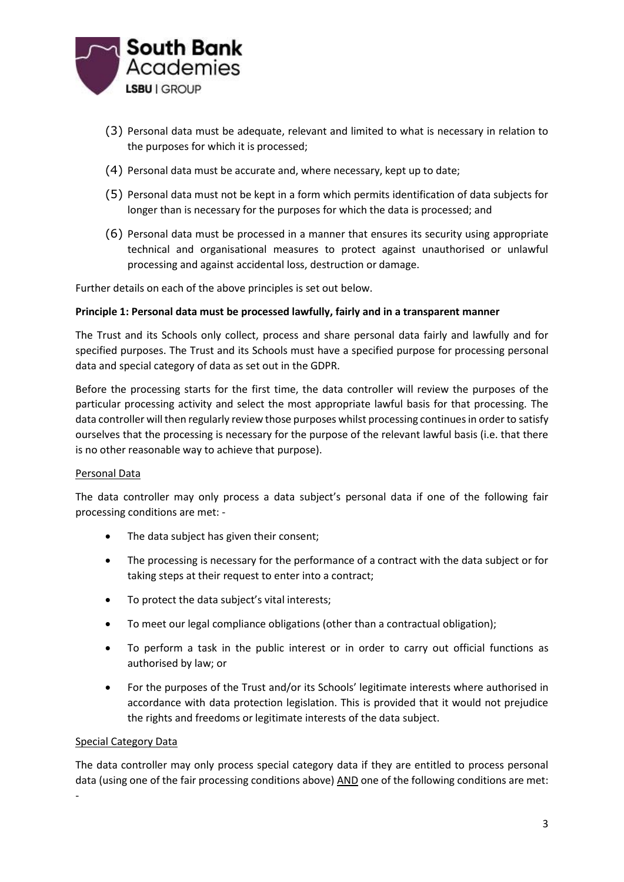

- (3) Personal data must be adequate, relevant and limited to what is necessary in relation to the purposes for which it is processed;
- (4) Personal data must be accurate and, where necessary, kept up to date;
- (5) Personal data must not be kept in a form which permits identification of data subjects for longer than is necessary for the purposes for which the data is processed; and
- (6) Personal data must be processed in a manner that ensures its security using appropriate technical and organisational measures to protect against unauthorised or unlawful processing and against accidental loss, destruction or damage.

Further details on each of the above principles is set out below.

### **Principle 1: Personal data must be processed lawfully, fairly and in a transparent manner**

The Trust and its Schools only collect, process and share personal data fairly and lawfully and for specified purposes. The Trust and its Schools must have a specified purpose for processing personal data and special category of data as set out in the GDPR.

Before the processing starts for the first time, the data controller will review the purposes of the particular processing activity and select the most appropriate lawful basis for that processing. The data controller will then regularly review those purposes whilst processing continues in order to satisfy ourselves that the processing is necessary for the purpose of the relevant lawful basis (i.e. that there is no other reasonable way to achieve that purpose).

### Personal Data

The data controller may only process a data subject's personal data if one of the following fair processing conditions are met: -

- The data subject has given their consent;
- The processing is necessary for the performance of a contract with the data subject or for taking steps at their request to enter into a contract;
- To protect the data subject's vital interests;
- To meet our legal compliance obligations (other than a contractual obligation);
- To perform a task in the public interest or in order to carry out official functions as authorised by law; or
- For the purposes of the Trust and/or its Schools' legitimate interests where authorised in accordance with data protection legislation. This is provided that it would not prejudice the rights and freedoms or legitimate interests of the data subject.

### Special Category Data

-

The data controller may only process special category data if they are entitled to process personal data (using one of the fair processing conditions above) AND one of the following conditions are met: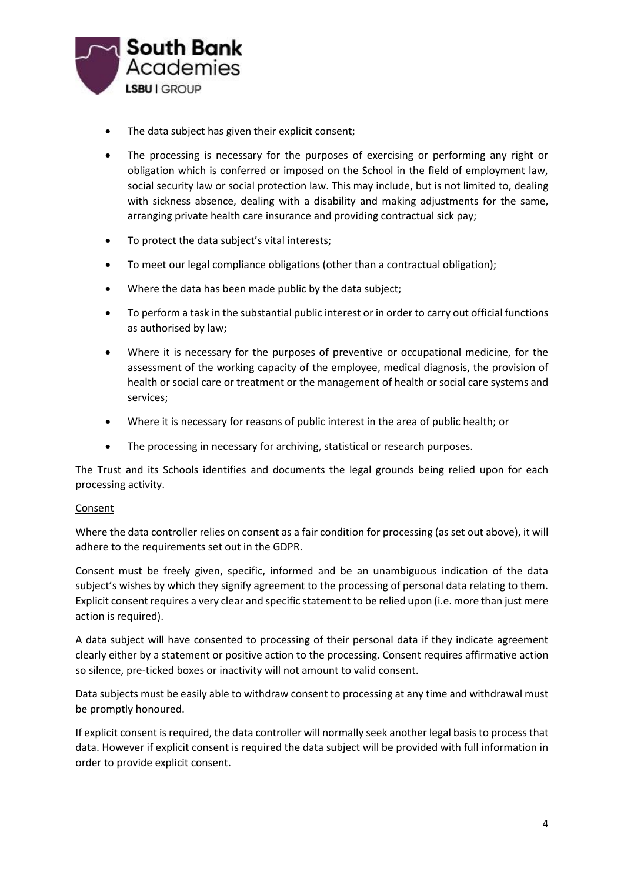

- The data subject has given their explicit consent;
- The processing is necessary for the purposes of exercising or performing any right or obligation which is conferred or imposed on the School in the field of employment law, social security law or social protection law. This may include, but is not limited to, dealing with sickness absence, dealing with a disability and making adjustments for the same, arranging private health care insurance and providing contractual sick pay;
- To protect the data subject's vital interests;
- To meet our legal compliance obligations (other than a contractual obligation);
- Where the data has been made public by the data subject;
- To perform a task in the substantial public interest or in order to carry out official functions as authorised by law;
- Where it is necessary for the purposes of preventive or occupational medicine, for the assessment of the working capacity of the employee, medical diagnosis, the provision of health or social care or treatment or the management of health or social care systems and services;
- Where it is necessary for reasons of public interest in the area of public health; or
- The processing in necessary for archiving, statistical or research purposes.

The Trust and its Schools identifies and documents the legal grounds being relied upon for each processing activity.

### Consent

Where the data controller relies on consent as a fair condition for processing (as set out above), it will adhere to the requirements set out in the GDPR.

Consent must be freely given, specific, informed and be an unambiguous indication of the data subject's wishes by which they signify agreement to the processing of personal data relating to them. Explicit consent requires a very clear and specific statement to be relied upon (i.e. more than just mere action is required).

A data subject will have consented to processing of their personal data if they indicate agreement clearly either by a statement or positive action to the processing. Consent requires affirmative action so silence, pre-ticked boxes or inactivity will not amount to valid consent.

Data subjects must be easily able to withdraw consent to processing at any time and withdrawal must be promptly honoured.

If explicit consent is required, the data controller will normally seek another legal basis to process that data. However if explicit consent is required the data subject will be provided with full information in order to provide explicit consent.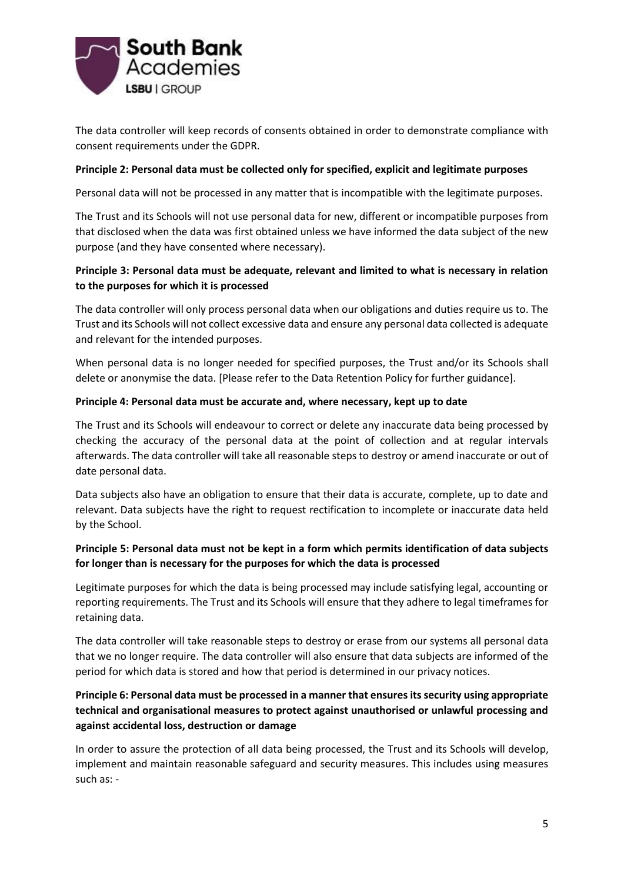

The data controller will keep records of consents obtained in order to demonstrate compliance with consent requirements under the GDPR.

# **Principle 2: Personal data must be collected only for specified, explicit and legitimate purposes**

Personal data will not be processed in any matter that is incompatible with the legitimate purposes.

The Trust and its Schools will not use personal data for new, different or incompatible purposes from that disclosed when the data was first obtained unless we have informed the data subject of the new purpose (and they have consented where necessary).

# **Principle 3: Personal data must be adequate, relevant and limited to what is necessary in relation to the purposes for which it is processed**

The data controller will only process personal data when our obligations and duties require us to. The Trust and its Schools will not collect excessive data and ensure any personal data collected is adequate and relevant for the intended purposes.

When personal data is no longer needed for specified purposes, the Trust and/or its Schools shall delete or anonymise the data. [Please refer to the Data Retention Policy for further guidance].

# **Principle 4: Personal data must be accurate and, where necessary, kept up to date**

The Trust and its Schools will endeavour to correct or delete any inaccurate data being processed by checking the accuracy of the personal data at the point of collection and at regular intervals afterwards. The data controller will take all reasonable steps to destroy or amend inaccurate or out of date personal data.

Data subjects also have an obligation to ensure that their data is accurate, complete, up to date and relevant. Data subjects have the right to request rectification to incomplete or inaccurate data held by the School.

# **Principle 5: Personal data must not be kept in a form which permits identification of data subjects for longer than is necessary for the purposes for which the data is processed**

Legitimate purposes for which the data is being processed may include satisfying legal, accounting or reporting requirements. The Trust and its Schools will ensure that they adhere to legal timeframes for retaining data.

The data controller will take reasonable steps to destroy or erase from our systems all personal data that we no longer require. The data controller will also ensure that data subjects are informed of the period for which data is stored and how that period is determined in our privacy notices.

# **Principle 6: Personal data must be processed in a manner that ensures its security using appropriate technical and organisational measures to protect against unauthorised or unlawful processing and against accidental loss, destruction or damage**

In order to assure the protection of all data being processed, the Trust and its Schools will develop, implement and maintain reasonable safeguard and security measures. This includes using measures such as: -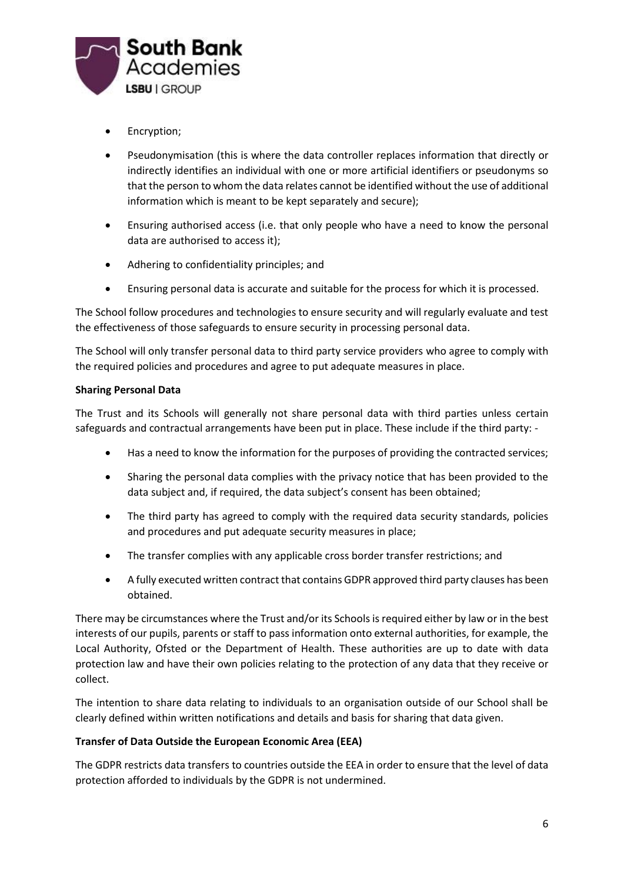

- Encryption;
- Pseudonymisation (this is where the data controller replaces information that directly or indirectly identifies an individual with one or more artificial identifiers or pseudonyms so that the person to whom the data relates cannot be identified without the use of additional information which is meant to be kept separately and secure);
- Ensuring authorised access (i.e. that only people who have a need to know the personal data are authorised to access it);
- Adhering to confidentiality principles; and
- Ensuring personal data is accurate and suitable for the process for which it is processed.

The School follow procedures and technologies to ensure security and will regularly evaluate and test the effectiveness of those safeguards to ensure security in processing personal data.

The School will only transfer personal data to third party service providers who agree to comply with the required policies and procedures and agree to put adequate measures in place.

# **Sharing Personal Data**

The Trust and its Schools will generally not share personal data with third parties unless certain safeguards and contractual arrangements have been put in place. These include if the third party: -

- Has a need to know the information for the purposes of providing the contracted services;
- Sharing the personal data complies with the privacy notice that has been provided to the data subject and, if required, the data subject's consent has been obtained;
- The third party has agreed to comply with the required data security standards, policies and procedures and put adequate security measures in place;
- The transfer complies with any applicable cross border transfer restrictions; and
- A fully executed written contract that contains GDPR approved third party clauses has been obtained.

There may be circumstances where the Trust and/or its Schools is required either by law or in the best interests of our pupils, parents or staff to pass information onto external authorities, for example, the Local Authority, Ofsted or the Department of Health. These authorities are up to date with data protection law and have their own policies relating to the protection of any data that they receive or collect.

The intention to share data relating to individuals to an organisation outside of our School shall be clearly defined within written notifications and details and basis for sharing that data given.

### **Transfer of Data Outside the European Economic Area (EEA)**

The GDPR restricts data transfers to countries outside the EEA in order to ensure that the level of data protection afforded to individuals by the GDPR is not undermined.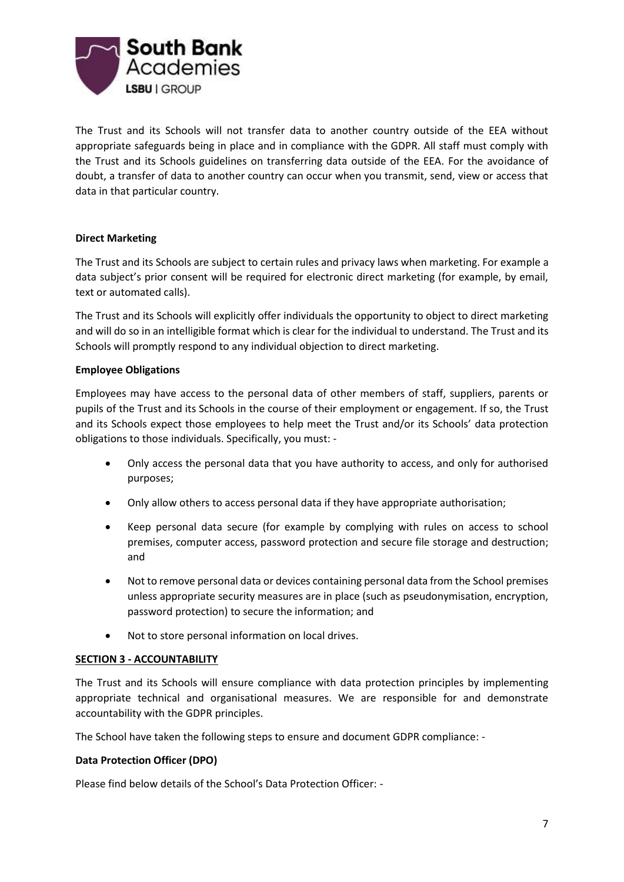

The Trust and its Schools will not transfer data to another country outside of the EEA without appropriate safeguards being in place and in compliance with the GDPR. All staff must comply with the Trust and its Schools guidelines on transferring data outside of the EEA. For the avoidance of doubt, a transfer of data to another country can occur when you transmit, send, view or access that data in that particular country.

# **Direct Marketing**

The Trust and its Schools are subject to certain rules and privacy laws when marketing. For example a data subject's prior consent will be required for electronic direct marketing (for example, by email, text or automated calls).

The Trust and its Schools will explicitly offer individuals the opportunity to object to direct marketing and will do so in an intelligible format which is clear for the individual to understand. The Trust and its Schools will promptly respond to any individual objection to direct marketing.

# **Employee Obligations**

Employees may have access to the personal data of other members of staff, suppliers, parents or pupils of the Trust and its Schools in the course of their employment or engagement. If so, the Trust and its Schools expect those employees to help meet the Trust and/or its Schools' data protection obligations to those individuals. Specifically, you must: -

- Only access the personal data that you have authority to access, and only for authorised purposes;
- Only allow others to access personal data if they have appropriate authorisation;
- Keep personal data secure (for example by complying with rules on access to school premises, computer access, password protection and secure file storage and destruction; and
- Not to remove personal data or devices containing personal data from the School premises unless appropriate security measures are in place (such as pseudonymisation, encryption, password protection) to secure the information; and
- Not to store personal information on local drives.

### **SECTION 3 - ACCOUNTABILITY**

The Trust and its Schools will ensure compliance with data protection principles by implementing appropriate technical and organisational measures. We are responsible for and demonstrate accountability with the GDPR principles.

The School have taken the following steps to ensure and document GDPR compliance: -

### **Data Protection Officer (DPO)**

Please find below details of the School's Data Protection Officer: -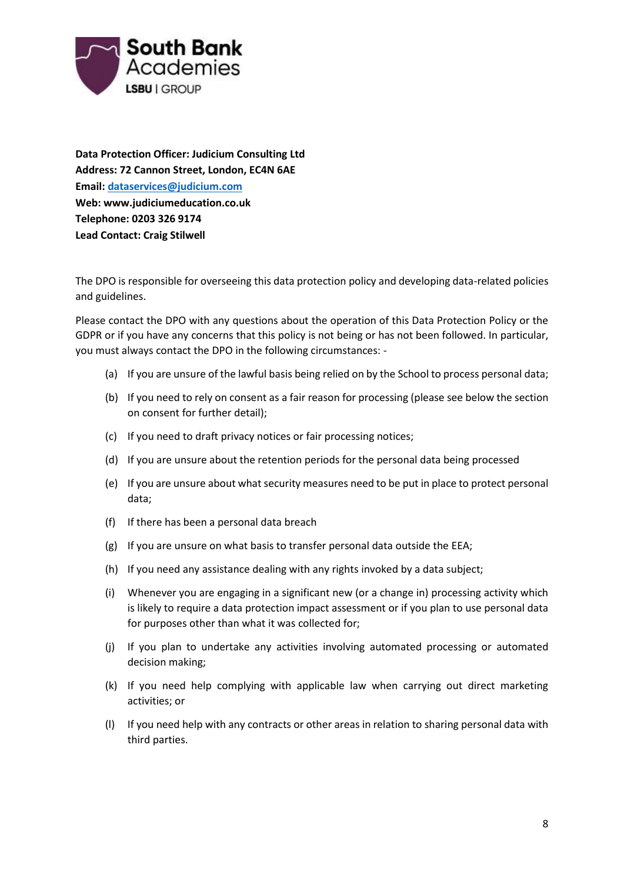

**Data Protection Officer: Judicium Consulting Ltd Address: 72 Cannon Street, London, EC4N 6AE Email[: dataservices@judicium.com](mailto:dataservices@judicium.com) Web: www.judiciumeducation.co.uk Telephone: 0203 326 9174 Lead Contact: Craig Stilwell**

The DPO is responsible for overseeing this data protection policy and developing data-related policies and guidelines.

Please contact the DPO with any questions about the operation of this Data Protection Policy or the GDPR or if you have any concerns that this policy is not being or has not been followed. In particular, you must always contact the DPO in the following circumstances: -

- (a) If you are unsure of the lawful basis being relied on by the School to process personal data;
- (b) If you need to rely on consent as a fair reason for processing (please see below the section on consent for further detail);
- (c) If you need to draft privacy notices or fair processing notices;
- (d) If you are unsure about the retention periods for the personal data being processed
- (e) If you are unsure about what security measures need to be put in place to protect personal data;
- (f) If there has been a personal data breach
- (g) If you are unsure on what basis to transfer personal data outside the EEA;
- (h) If you need any assistance dealing with any rights invoked by a data subject;
- (i) Whenever you are engaging in a significant new (or a change in) processing activity which is likely to require a data protection impact assessment or if you plan to use personal data for purposes other than what it was collected for;
- (j) If you plan to undertake any activities involving automated processing or automated decision making;
- (k) If you need help complying with applicable law when carrying out direct marketing activities; or
- (l) If you need help with any contracts or other areas in relation to sharing personal data with third parties.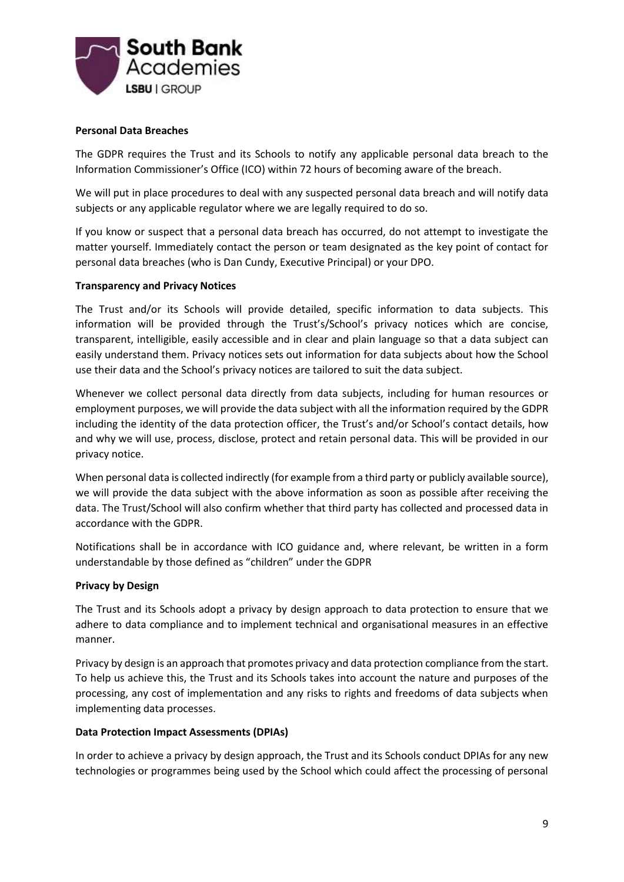

# **Personal Data Breaches**

The GDPR requires the Trust and its Schools to notify any applicable personal data breach to the Information Commissioner's Office (ICO) within 72 hours of becoming aware of the breach.

We will put in place procedures to deal with any suspected personal data breach and will notify data subjects or any applicable regulator where we are legally required to do so.

If you know or suspect that a personal data breach has occurred, do not attempt to investigate the matter yourself. Immediately contact the person or team designated as the key point of contact for personal data breaches (who is Dan Cundy, Executive Principal) or your DPO.

# **Transparency and Privacy Notices**

The Trust and/or its Schools will provide detailed, specific information to data subjects. This information will be provided through the Trust's/School's privacy notices which are concise, transparent, intelligible, easily accessible and in clear and plain language so that a data subject can easily understand them. Privacy notices sets out information for data subjects about how the School use their data and the School's privacy notices are tailored to suit the data subject.

Whenever we collect personal data directly from data subjects, including for human resources or employment purposes, we will provide the data subject with all the information required by the GDPR including the identity of the data protection officer, the Trust's and/or School's contact details, how and why we will use, process, disclose, protect and retain personal data. This will be provided in our privacy notice.

When personal data is collected indirectly (for example from a third party or publicly available source), we will provide the data subject with the above information as soon as possible after receiving the data. The Trust/School will also confirm whether that third party has collected and processed data in accordance with the GDPR.

Notifications shall be in accordance with ICO guidance and, where relevant, be written in a form understandable by those defined as "children" under the GDPR

### **Privacy by Design**

The Trust and its Schools adopt a privacy by design approach to data protection to ensure that we adhere to data compliance and to implement technical and organisational measures in an effective manner.

Privacy by design is an approach that promotes privacy and data protection compliance from the start. To help us achieve this, the Trust and its Schools takes into account the nature and purposes of the processing, any cost of implementation and any risks to rights and freedoms of data subjects when implementing data processes.

### **Data Protection Impact Assessments (DPIAs)**

In order to achieve a privacy by design approach, the Trust and its Schools conduct DPIAs for any new technologies or programmes being used by the School which could affect the processing of personal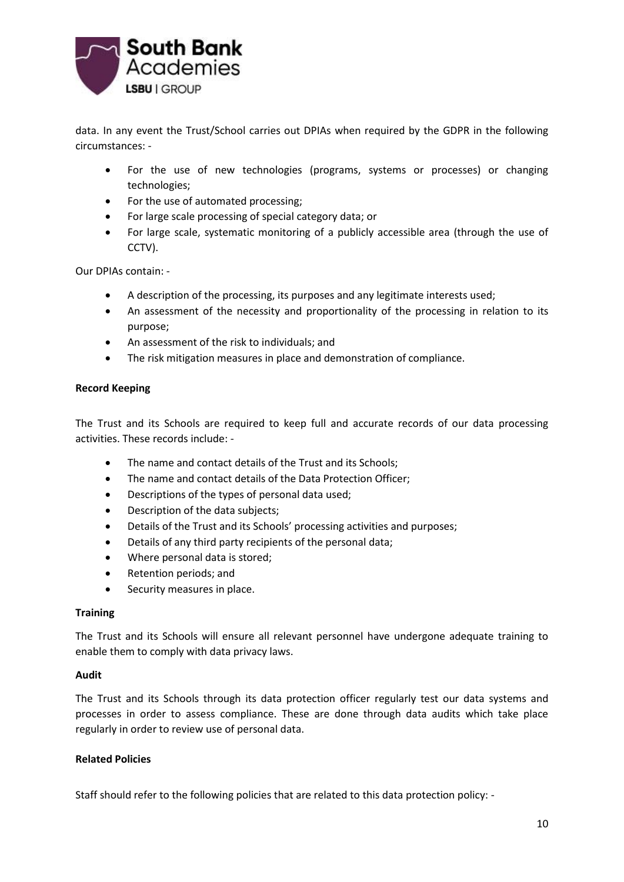

data. In any event the Trust/School carries out DPIAs when required by the GDPR in the following circumstances: -

- For the use of new technologies (programs, systems or processes) or changing technologies;
- For the use of automated processing;
- For large scale processing of special category data; or
- For large scale, systematic monitoring of a publicly accessible area (through the use of CCTV).

Our DPIAs contain: -

- A description of the processing, its purposes and any legitimate interests used;
- An assessment of the necessity and proportionality of the processing in relation to its purpose;
- An assessment of the risk to individuals; and
- The risk mitigation measures in place and demonstration of compliance.

### **Record Keeping**

The Trust and its Schools are required to keep full and accurate records of our data processing activities. These records include: -

- The name and contact details of the Trust and its Schools;
- The name and contact details of the Data Protection Officer;
- Descriptions of the types of personal data used;
- Description of the data subjects;
- Details of the Trust and its Schools' processing activities and purposes;
- Details of any third party recipients of the personal data;
- Where personal data is stored;
- Retention periods; and
- Security measures in place.

### **Training**

The Trust and its Schools will ensure all relevant personnel have undergone adequate training to enable them to comply with data privacy laws.

### **Audit**

The Trust and its Schools through its data protection officer regularly test our data systems and processes in order to assess compliance. These are done through data audits which take place regularly in order to review use of personal data.

### **Related Policies**

Staff should refer to the following policies that are related to this data protection policy: -